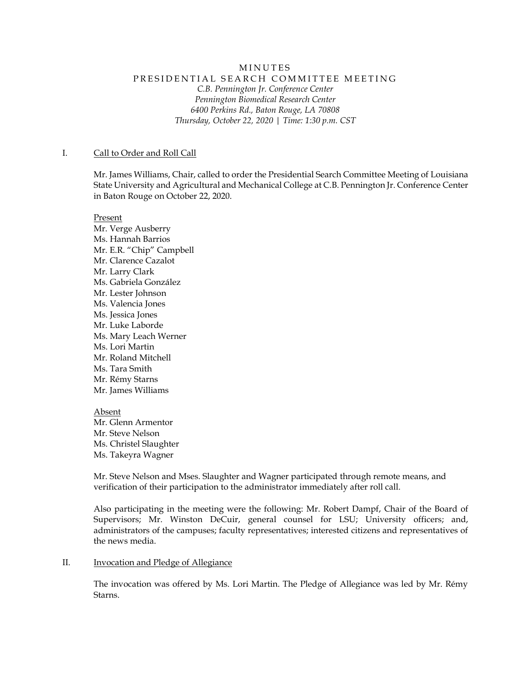# *Pennington Biomedical Research Center 6400 Perkins Rd., Baton Rouge, LA 70808 Thursday, October 22, 2020 | Time: 1:30 p.m. CST*  M IN UTES<br>
PRESIDENTIAL SEARCH CON<br>
C.B. Pennington Jr. Confer<br>
Pennington Biomedical Res<br>
6400 Perkins Rd., Baton Rou<br>
Thursday, October 22, 2020 | Tis<br>
1 to Order and Roll Call<br>
James Williams, Chair, called to order the PRESIDENTIAL SEARCH COMMITTEE MEETING *C.B. Pennington Jr. Conference Center*

#### I. Call to Order and Roll Call

 Mr. James Williams, Chair, called to order the Presidential Search Committee Meeting of Louisiana State University and Agricultural and Mechanical College at C.B. Pennington Jr. Conference Center in Baton Rouge on October 22, 2020.

Present

 Mr. Verge Ausberry Mr. E.R. "Chip" Campbell Mr. Clarence Cazalot Mr. Lester Johnson Mr. Roland Mitchell Ms. Hannah Barrios Mr. Larry Clark Ms. Gabriela González Ms. Valencia Jones Ms. Jessica Jones Mr. Luke Laborde Ms. Mary Leach Werner Ms. Lori Martin Ms. Tara Smith Mr. Rémy Starns Mr. James Williams

 Mr. Glenn Armentor Absent Mr. Steve Nelson Ms. Christel Slaughter Ms. Takeyra Wagner

 Mr. Steve Nelson and Mses. Slaughter and Wagner participated through remote means, and verification of their participation to the administrator immediately after roll call.

 Also participating in the meeting were the following: Mr. Robert Dampf, Chair of the Board of Supervisors; Mr. Winston DeCuir, general counsel for LSU; University officers; and, administrators of the campuses; faculty representatives; interested citizens and representatives of the news media.

#### II. Invocation and Pledge of Allegiance

 The invocation was offered by Ms. Lori Martin. The Pledge of Allegiance was led by Mr. Rémy Starns.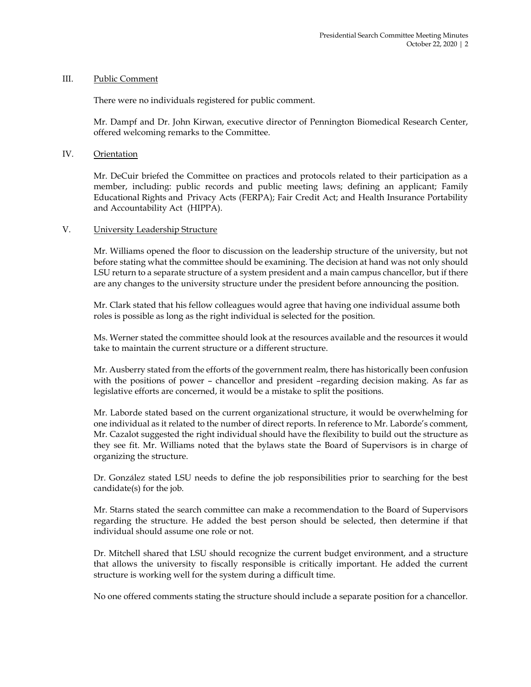#### III. Public Comment

There were no individuals registered for public comment.

 Mr. Dampf and Dr. John Kirwan, executive director of Pennington Biomedical Research Center, offered welcoming remarks to the Committee.

#### IV. Orientation

 Mr. DeCuir briefed the Committee on practices and protocols related to their participation as a Educational Rights and Privacy Acts (FERPA); Fair Credit Act; and Health Insurance Portability member, including: public records and public meeting laws; defining an applicant; Family and Accountability Act (HIPPA).

#### V. University Leadership Structure

 Mr. Williams opened the floor to discussion on the leadership structure of the university, but not before stating what the committee should be examining. The decision at hand was not only should LSU return to a separate structure of a system president and a main campus chancellor, but if there are any changes to the university structure under the president before announcing the position.

Mr. Clark stated that his fellow colleagues would agree that having one individual assume both roles is possible as long as the right individual is selected for the position.

 Ms. Werner stated the committee should look at the resources available and the resources it would take to maintain the current structure or a different structure.

 Mr. Ausberry stated from the efforts of the government realm, there has historically been confusion with the positions of power – chancellor and president –regarding decision making. As far as legislative efforts are concerned, it would be a mistake to split the positions.

 Mr. Laborde stated based on the current organizational structure, it would be overwhelming for one individual as it related to the number of direct reports. In reference to Mr. Laborde's comment, Mr. Cazalot suggested the right individual should have the flexibility to build out the structure as they see fit. Mr. Williams noted that the bylaws state the Board of Supervisors is in charge of organizing the structure.

 Dr. González stated LSU needs to define the job responsibilities prior to searching for the best candidate(s) for the job.

 Mr. Starns stated the search committee can make a recommendation to the Board of Supervisors regarding the structure. He added the best person should be selected, then determine if that individual should assume one role or not.

 Dr. Mitchell shared that LSU should recognize the current budget environment, and a structure that allows the university to fiscally responsible is critically important. He added the current structure is working well for the system during a difficult time.

No one offered comments stating the structure should include a separate position for a chancellor.